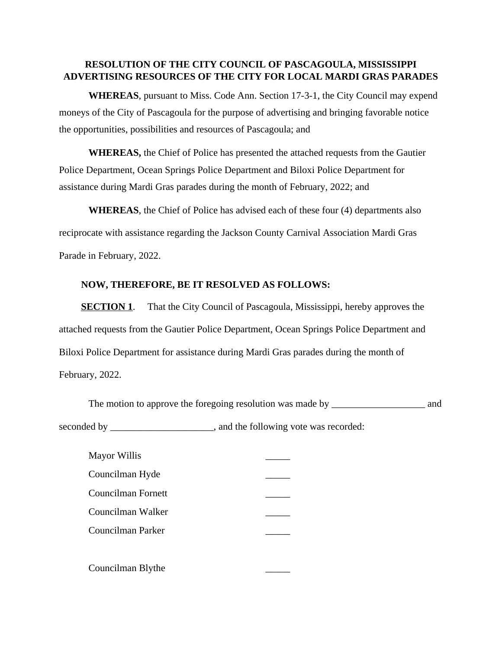## **RESOLUTION OF THE CITY COUNCIL OF PASCAGOULA, MISSISSIPPI ADVERTISING RESOURCES OF THE CITY FOR LOCAL MARDI GRAS PARADES**

 **WHEREAS**, pursuant to Miss. Code Ann. Section 17-3-1, the City Council may expend moneys of the City of Pascagoula for the purpose of advertising and bringing favorable notice the opportunities, possibilities and resources of Pascagoula; and

**WHEREAS,** the Chief of Police has presented the attached requests from the Gautier Police Department, Ocean Springs Police Department and Biloxi Police Department for assistance during Mardi Gras parades during the month of February, 2022; and

 **WHEREAS**, the Chief of Police has advised each of these four (4) departments also reciprocate with assistance regarding the Jackson County Carnival Association Mardi Gras Parade in February, 2022.

## **NOW, THEREFORE, BE IT RESOLVED AS FOLLOWS:**

**SECTION 1.** That the City Council of Pascagoula, Mississippi, hereby approves the attached requests from the Gautier Police Department, Ocean Springs Police Department and Biloxi Police Department for assistance during Mardi Gras parades during the month of February, 2022.

|             | The motion to approve the foregoing resolution was made by | and |
|-------------|------------------------------------------------------------|-----|
| seconded by | and the following vote was recorded:                       |     |

| Mayor Willis       |  |
|--------------------|--|
| Councilman Hyde    |  |
| Councilman Fornett |  |
| Councilman Walker  |  |
| Councilman Parker  |  |
|                    |  |
| Councilman Blythe  |  |